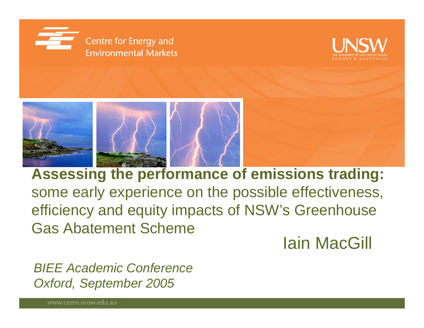





**Assessing the performance of emissions trading:**  some early experience on the possible effectiveness, efficiency and equity impacts of NSW's Greenhouse Gas Abatement Scheme

Iain MacGill

*BIEE Academic ConferenceOxford, September 2005*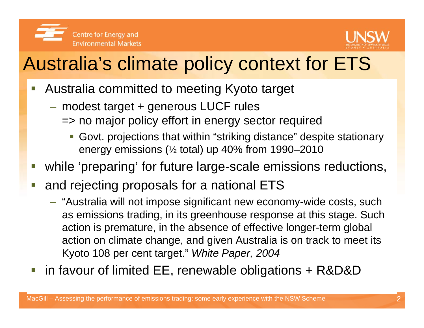



# Australia's climate policy context for ETS

- $\mathbb{R}^3$  Australia committed to meeting Kyoto target
	- modest target + generous LUCF rules
		- => no major policy effort in energy sector required
			- Govt. projections that within "striking distance" despite stationary energy emissions (½ total) up 40% from 1990–2010
- e<br>S while 'preparing' for future large-scale emissions reductions,
- e<br>S and rejecting proposals for a national ETS
	- "Australia will not impose significant new economy-wide costs, such as emissions trading, in its greenhouse response at this stage. Such action is premature, in the absence of effective longer-term global action on climate change, and given Australia is on track to meet its Kyoto 108 per cent target." *White Paper, 2004*
- $\mathbb{R}^3$ in favour of limited EE, renewable obligations + R&D&D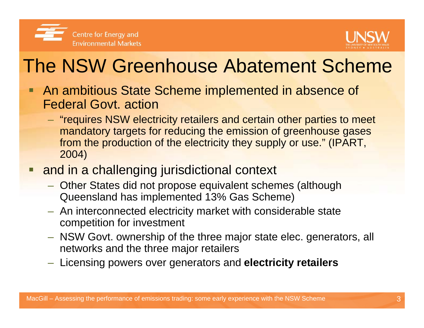



# The NSW Greenhouse Abatement Scheme

- **An ambitious State Scheme implemented in absence of** Federal Govt. action
	- "requires NSW electricity retailers and certain other parties to meet mandatory targets for reducing the emission of greenhouse gases from the production of the electricity they supply or use." (IPART, 2004)
- **nd in a challenging jurisdictional context** 
	- Other States did not propose equivalent schemes (although Queensland has implemented 13% Gas Scheme)
	- $-$  An interconnected electricity market with considerable state competition for investment
	- NSW Govt. ownership of the three major state elec. generators, all networks and the three major retailers
	- Licensing powers over generators and **electricity retailers**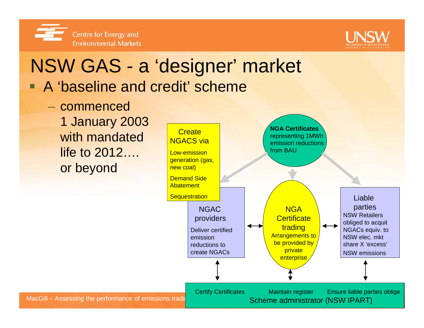



# NSW GAS - <sup>a</sup>'designer' market

- A 'baseline and credit' scheme
	- commenced 1 January 2003 with mandatedlife to 2012…. or beyond

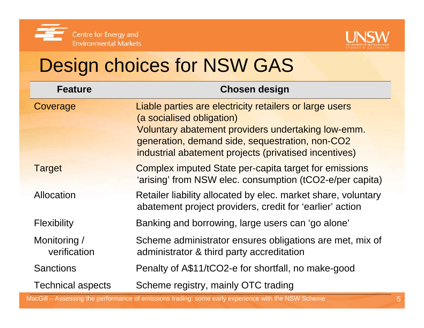



# Design choices for NSW GAS

| <b>Feature</b>               | <b>Chosen design</b>                                                                                                                                                                                                                                   |  |  |  |
|------------------------------|--------------------------------------------------------------------------------------------------------------------------------------------------------------------------------------------------------------------------------------------------------|--|--|--|
| Coverage                     | Liable parties are electricity retailers or large users<br>(a socialised obligation)<br>Voluntary abatement providers undertaking low-emm.<br>generation, demand side, sequestration, non-CO2<br>industrial abatement projects (privatised incentives) |  |  |  |
| <b>Target</b>                | Complex imputed State per-capita target for emissions<br>'arising' from NSW elec. consumption (tCO2-e/per capita)                                                                                                                                      |  |  |  |
| Allocation                   | Retailer liability allocated by elec. market share, voluntary<br>abatement project providers, credit for 'earlier' action                                                                                                                              |  |  |  |
| <b>Flexibility</b>           | Banking and borrowing, large users can 'go alone'                                                                                                                                                                                                      |  |  |  |
| Monitoring /<br>verification | Scheme administrator ensures obligations are met, mix of<br>administrator & third party accreditation                                                                                                                                                  |  |  |  |
| <b>Sanctions</b>             | Penalty of A\$11/tCO2-e for shortfall, no make-good                                                                                                                                                                                                    |  |  |  |
| <b>Technical aspects</b>     | Scheme registry, mainly OTC trading                                                                                                                                                                                                                    |  |  |  |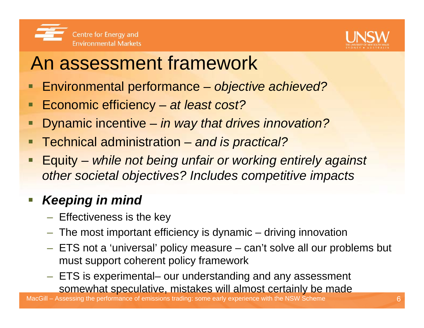

### An assessment framework

- Environmental performance *objective achieved?*
- Economic efficiency *at least cost?*
- Dynamic incentive *in way that drives innovation?*
- Technical administration and is practical?
- Equity *while not being unfair or working entirely against other societal objectives? Includes competitive impacts*

#### *Keeping in mind*

- $-$  Effectiveness is the key
- $-$  The most important efficiency is dynamic  $-$  driving innovation
- ETS not a 'universal' policy measure can't solve all our problems but must support coherent policy framework
- ETS is experimental– our understanding and any assessment somewhat speculative, mistakes will almost certainly be made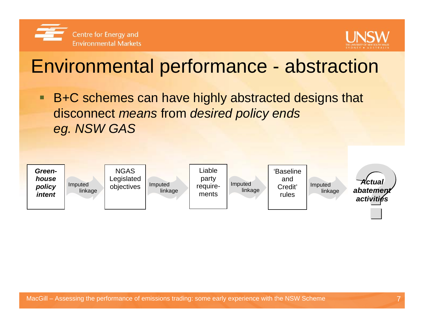



#### Environmental performance - abstraction

■ B+C schemes can have highly abstracted designs that disconnect *means* from *desired policy ends eg. NSW GAS*

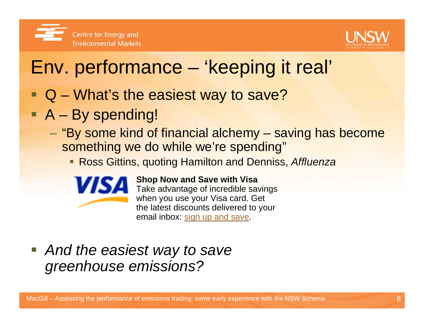



#### Env. performance – 'keeping it real'

- Q What's the easiest way to save?
- A By spending!
	- "By some kind of financial alchemy saving has become something we do while we're spending"
		- Ross Gittins, quoting Hamilton and Denniss, *Affluenza*



#### **Shop Now and Save with Visa**

Take advantage of incredible savings when you use your Visa card. Get the latest discounts delivered to your email inbox: sign up and save.

 *And the easiest way to save greenhouse emissions?*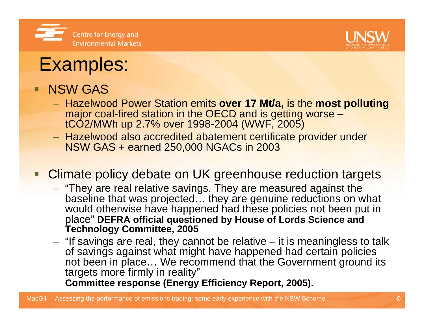



#### Examples:

#### **NSW GAS**

- Hazelwood Power Station emits **over 17 Mt/a,** is the **most polluting** major coal-fired station in the OECD and is getting worse – tCO2/MWh up 2.7% over 1998-2004 (WWF, 2005)
- Hazelwood also accredited abatement certificate provider under NSW GAS + earned 250,000 NGACs in 2003

#### **Climate policy debate on UK greenhouse reduction targets**

- $-$  "They are real relative savings. They are measured against the baseline that was projected... they are genuine reductions on what would otherwise have happened had these policies not been put in place" **DEFRA official questioned by House of Lords Science and Technology Committee, 2005**
- $-$  "If savings are real, they cannot be relative  $-$  it is meaningless to talk of savings against what might have happened had certain policies not been in place... We recommend that the Government ground its targets more firmly in reality"

**Committee response (Energy Efficiency Report, 2005).**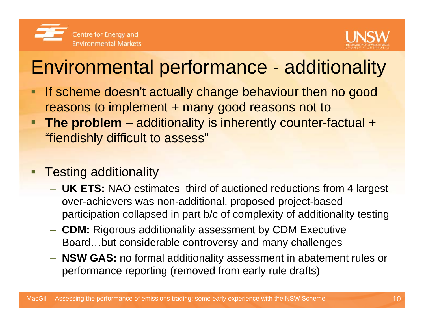



### Environmental performance - additionality

- □ If scheme doesn't actually change behaviour then no good reasons to implement + many good reasons not to
- □ **The problem** – additionality is inherently counter-factual + "fiendishly difficult to assess"
- Ξ Testing additionality
	- **UK ETS:** NAO estimates third of auctioned reductions from 4 largest over-achievers was non-additional, proposed project-based participation collapsed in part b/c of complexity of additionality testing
	- **CDM:** Rigorous additionality assessment by CDM Executive Board…but considerable controversy and many challenges
	- **NSW GAS:** no formal additionality assessment in abatement rules or performance reporting (removed from early rule drafts)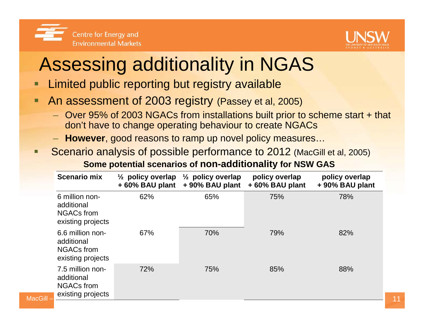



# Assessing additionality in NGAS

- Г Limited public reporting but registry available
- Г An assessment of 2003 registry (Passey et al, 2005)
	- Over 95% of 2003 NGACs from installations built prior to scheme start + that don't have to change operating behaviour to create NGACs
	- **However**, good reasons to ramp up novel policy measures…
- **Service Service**  Scenario analysis of possible performance to 2012 (MacGill et al, 2005) **Some potential scenarios of non-additionality for NSW GAS**

| <b>Scenario mix</b>                                                                   | $\frac{1}{2}$ policy overlap<br>+60% BAU plant | $\frac{1}{2}$ policy overlap<br>+90% BAU plant | policy overlap<br>+60% BAU plant | policy overlap<br>+90% BAU plant |
|---------------------------------------------------------------------------------------|------------------------------------------------|------------------------------------------------|----------------------------------|----------------------------------|
| 6 million non-<br>additional<br><b>NGACs from</b><br>existing projects                | 62%                                            | 65%                                            | 75%                              | 78%                              |
| 6.6 million non-<br>additional<br><b>NGACs from</b><br>existing projects              | 67%                                            | 70%                                            | 79%                              | 82%                              |
| 7.5 million non-<br>additional<br><b>NGACs from</b><br>existing projects<br>MacGill - | 72%                                            | 75%                                            | 85%                              | 88%                              |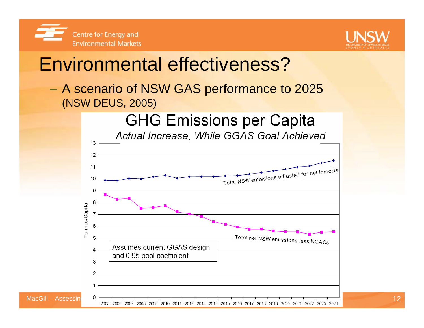



#### Environmental effectiveness?

 A scenario of NSW GAS performance to 2025 (NSW DEUS, 2005)

**GHG Emissions per Capita** 



Actual Increase, While GGAS Goal Achieved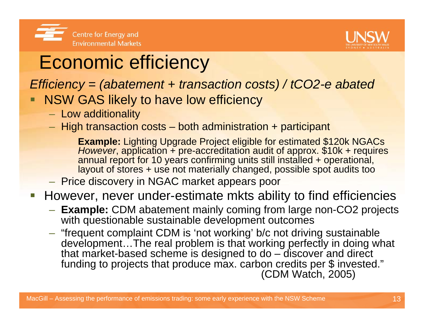



# Economic efficiency

*Efficiency = (abatement + transaction costs) / tCO2-e abated*

- NSW GAS likely to have low efficiency
	- $-$  Low additionality  $\,$
	- $-$  High transaction costs both administration + participant

**Example:** Lighting Upgrade Project eligible for estimated \$120k NGACs *However*, application + pre-accreditation audit of approx. \$10k + requires annual report for 10 years confirming units still installed + operational, layout of stores + use not materially changed, possible spot audits too

**- Price discovery in NGAC market appears poor** 

However, never under-estimate mkts ability to find efficiencies

- **Example:** CDM abatement mainly coming from large non-CO2 projects with questionable sustainable development outcomes
- "frequent complaint CDM is 'not working' b/c not driving sustainable development…The real problem is that working perfectly in doing what that market-based scheme is designed to do – discover and direct funding to projects that produce max. carbon credits per \$ invested." (CDM Watch, 2005)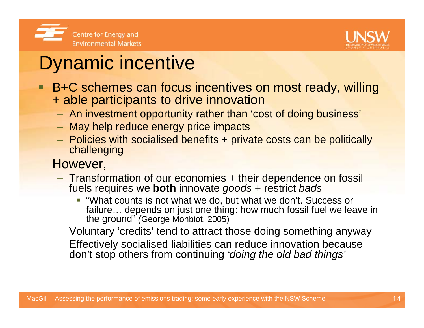



#### Dynamic incentive

- **Service Service**  B+C schemes can focus incentives on most ready, willing + able participants to drive innovation
	- $-$  An investment opportunity rather than 'cost of doing business'
	- $-$  May help reduce energy price impacts
	- Policies with socialised benefits + private costs can be politically challenging
	- However,
		- Transformation of our economies + their dependence on fossil fuels requires we **both** innovate *goods* + restrict *bads*
			- "What counts is not what we do, but what we don't. Success or failure… depends on just one thing: how much fossil fuel we leave in the ground" *(*George Monbiot, 2005)
		- Voluntary 'credits' tend to attract those doing something anyway
		- $-$  Effectively socialised liabilities can reduce innovation because don't stop others from continuing *'doing the old bad things'*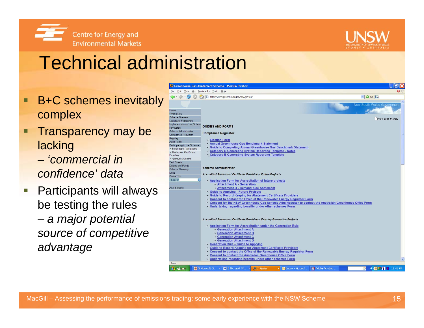



## Technical administration

- $\blacksquare$  B+C schemes inevitably complex
- Transparency may be lacking
	- *'commercial in confidence' data*
- $\overline{\phantom{a}}$  Participants will always be testing the rules  *a major potential source of competitive advantage*

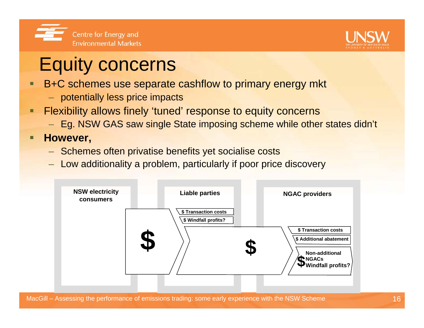



## Equity concerns

- Ξ B+C schemes use separate cashflow to primary energy mkt
	- potentially less price impacts
- $\blacksquare$  Flexibility allows finely 'tuned' response to equity concerns
	- Eg. NSW GAS saw single State imposing scheme while other states didn't
- Ξ **However,**
	- Schemes often privatise benefits yet socialise costs
	- Low additionality a problem, particularly if poor price discovery

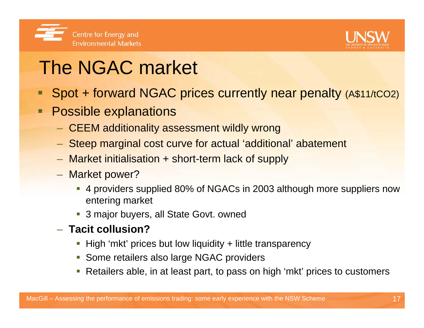



# The NGAC market

- Spot + forward NGAC prices currently near penalty (A\$11/tCO2)
- $\blacksquare$  Possible explanations
	- CEEM additionality assessment wildly wrong
	- Steep marginal cost curve for actual 'additional' abatement
	- Market initialisation + short-term lack of supply
	- Market power?
		- 4 providers supplied 80% of NGACs in 2003 although more suppliers now entering market
		- **3 major buyers, all State Govt. owned**
	- **Tacit collusion?**
		- **High 'mkt' prices but low liquidity + little transparency**
		- **Some retailers also large NGAC providers**
		- Retailers able, in at least part, to pass on high 'mkt' prices to customers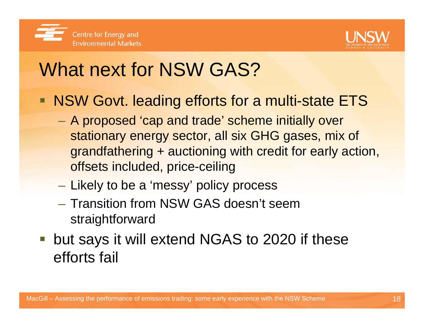



# What next for NSW GAS?

- NSW Govt. leading efforts for a multi-state ETS
	- A proposed 'cap and trade' scheme initially over stationary energy sector, all six GHG gases, mix of grandfathering + auctioning with credit for early action, offsets included, price-ceiling
	- Likely to be a 'messy' policy process
	- Transition from NSW GAS doesn't seem straightforward
- **but says it will extend NGAS to 2020 if these** efforts fail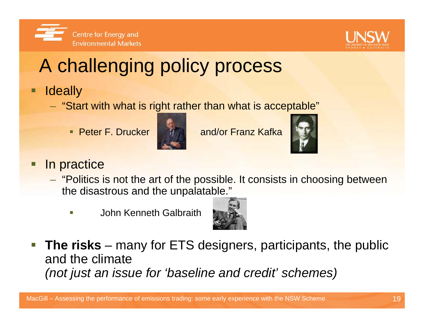



# A challenging policy process

- □ **Ideally** 
	- "Start with what is right rather than what is acceptable"
		- Peter F. Drucker



• Peter F. Drucker **Addustral** and/or Franz Kafka



#### Ξ In practice

- "Politics is not the art of the possible. It consists in choosing between the disastrous and the unpalatable."
	- г John Kenneth Galbraith



 $\mathcal{L}_{\mathcal{A}}$ **The risks** – many for ETS designers, participants, the public and the climate*(not just an issue for 'baseline and credit' schemes)*